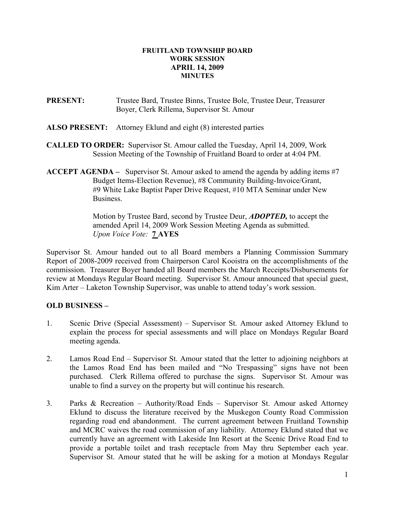## FRUITLAND TOWNSHIP BOARD WORK SESSION APRIL 14, 2009 MINUTES

- PRESENT: Trustee Bard, Trustee Binns, Trustee Bole, Trustee Deur, Treasurer Boyer, Clerk Rillema, Supervisor St. Amour
- ALSO PRESENT: Attorney Eklund and eight (8) interested parties
- CALLED TO ORDER: Supervisor St. Amour called the Tuesday, April 14, 2009, Work Session Meeting of the Township of Fruitland Board to order at 4:04 PM.
- **ACCEPT AGENDA** Supervisor St. Amour asked to amend the agenda by adding items  $\#7$  Budget Items-Election Revenue), #8 Community Building-Invoice/Grant, #9 White Lake Baptist Paper Drive Request, #10 MTA Seminar under New Business.

Motion by Trustee Bard, second by Trustee Deur, **ADOPTED**, to accept the amended April 14, 2009 Work Session Meeting Agenda as submitted. Upon Voice Vote: **7 AYES** 

Supervisor St. Amour handed out to all Board members a Planning Commission Summary Report of 2008-2009 received from Chairperson Carol Kooistra on the accomplishments of the commission. Treasurer Boyer handed all Board members the March Receipts/Disbursements for review at Mondays Regular Board meeting. Supervisor St. Amour announced that special guest, Kim Arter – Laketon Township Supervisor, was unable to attend today's work session.

## OLD BUSINESS –

- 1. Scenic Drive (Special Assessment) Supervisor St. Amour asked Attorney Eklund to explain the process for special assessments and will place on Mondays Regular Board meeting agenda.
- 2. Lamos Road End Supervisor St. Amour stated that the letter to adjoining neighbors at the Lamos Road End has been mailed and "No Trespassing" signs have not been purchased. Clerk Rillema offered to purchase the signs. Supervisor St. Amour was unable to find a survey on the property but will continue his research.
- 3. Parks & Recreation Authority/Road Ends Supervisor St. Amour asked Attorney Eklund to discuss the literature received by the Muskegon County Road Commission regarding road end abandonment. The current agreement between Fruitland Township and MCRC waives the road commission of any liability. Attorney Eklund stated that we currently have an agreement with Lakeside Inn Resort at the Scenic Drive Road End to provide a portable toilet and trash receptacle from May thru September each year. Supervisor St. Amour stated that he will be asking for a motion at Mondays Regular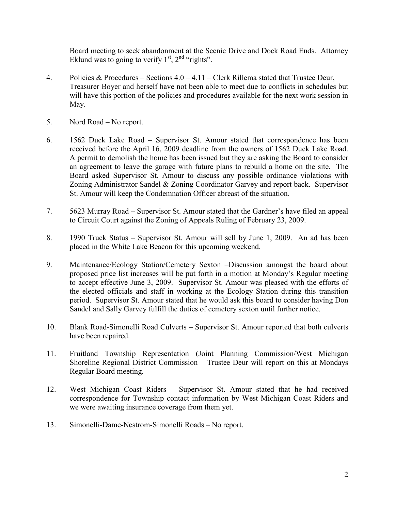Board meeting to seek abandonment at the Scenic Drive and Dock Road Ends. Attorney Eklund was to going to verify  $1<sup>st</sup>$ ,  $2<sup>nd</sup>$  "rights".

- 4. Policies & Procedures Sections  $4.0 4.11$  Clerk Rillema stated that Trustee Deur, Treasurer Boyer and herself have not been able to meet due to conflicts in schedules but will have this portion of the policies and procedures available for the next work session in May.
- 5. Nord Road No report.
- 6. 1562 Duck Lake Road Supervisor St. Amour stated that correspondence has been received before the April 16, 2009 deadline from the owners of 1562 Duck Lake Road. A permit to demolish the home has been issued but they are asking the Board to consider an agreement to leave the garage with future plans to rebuild a home on the site. The Board asked Supervisor St. Amour to discuss any possible ordinance violations with Zoning Administrator Sandel & Zoning Coordinator Garvey and report back. Supervisor St. Amour will keep the Condemnation Officer abreast of the situation.
- 7. 5623 Murray Road Supervisor St. Amour stated that the Gardner's have filed an appeal to Circuit Court against the Zoning of Appeals Ruling of February 23, 2009.
- 8. 1990 Truck Status Supervisor St. Amour will sell by June 1, 2009. An ad has been placed in the White Lake Beacon for this upcoming weekend.
- 9. Maintenance/Ecology Station/Cemetery Sexton –Discussion amongst the board about proposed price list increases will be put forth in a motion at Monday's Regular meeting to accept effective June 3, 2009. Supervisor St. Amour was pleased with the efforts of the elected officials and staff in working at the Ecology Station during this transition period. Supervisor St. Amour stated that he would ask this board to consider having Don Sandel and Sally Garvey fulfill the duties of cemetery sexton until further notice.
- 10. Blank Road-Simonelli Road Culverts Supervisor St. Amour reported that both culverts have been repaired.
- 11. Fruitland Township Representation (Joint Planning Commission/West Michigan Shoreline Regional District Commission – Trustee Deur will report on this at Mondays Regular Board meeting.
- 12. West Michigan Coast Riders Supervisor St. Amour stated that he had received correspondence for Township contact information by West Michigan Coast Riders and we were awaiting insurance coverage from them yet.
- 13. Simonelli-Dame-Nestrom-Simonelli Roads No report.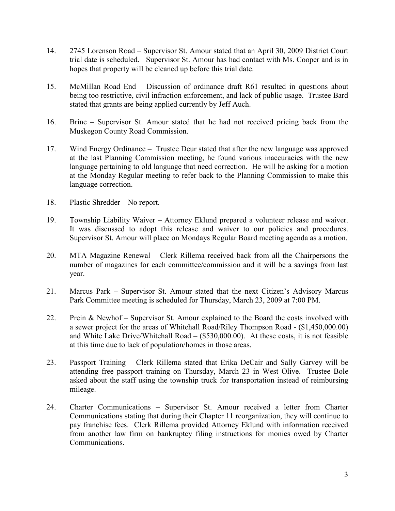- 14. 2745 Lorenson Road Supervisor St. Amour stated that an April 30, 2009 District Court trial date is scheduled. Supervisor St. Amour has had contact with Ms. Cooper and is in hopes that property will be cleaned up before this trial date.
- 15. McMillan Road End Discussion of ordinance draft R61 resulted in questions about being too restrictive, civil infraction enforcement, and lack of public usage. Trustee Bard stated that grants are being applied currently by Jeff Auch.
- 16. Brine Supervisor St. Amour stated that he had not received pricing back from the Muskegon County Road Commission.
- 17. Wind Energy Ordinance Trustee Deur stated that after the new language was approved at the last Planning Commission meeting, he found various inaccuracies with the new language pertaining to old language that need correction. He will be asking for a motion at the Monday Regular meeting to refer back to the Planning Commission to make this language correction.
- 18. Plastic Shredder No report.
- 19. Township Liability Waiver Attorney Eklund prepared a volunteer release and waiver. It was discussed to adopt this release and waiver to our policies and procedures. Supervisor St. Amour will place on Mondays Regular Board meeting agenda as a motion.
- 20. MTA Magazine Renewal Clerk Rillema received back from all the Chairpersons the number of magazines for each committee/commission and it will be a savings from last year.
- 21. Marcus Park Supervisor St. Amour stated that the next Citizen's Advisory Marcus Park Committee meeting is scheduled for Thursday, March 23, 2009 at 7:00 PM.
- 22. Prein & Newhof Supervisor St. Amour explained to the Board the costs involved with a sewer project for the areas of Whitehall Road/Riley Thompson Road - (\$1,450,000.00) and White Lake Drive/Whitehall Road  $-$  (\$530,000.00). At these costs, it is not feasible at this time due to lack of population/homes in those areas.
- 23. Passport Training Clerk Rillema stated that Erika DeCair and Sally Garvey will be attending free passport training on Thursday, March 23 in West Olive. Trustee Bole asked about the staff using the township truck for transportation instead of reimbursing mileage.
- 24. Charter Communications Supervisor St. Amour received a letter from Charter Communications stating that during their Chapter 11 reorganization, they will continue to pay franchise fees. Clerk Rillema provided Attorney Eklund with information received from another law firm on bankruptcy filing instructions for monies owed by Charter Communications.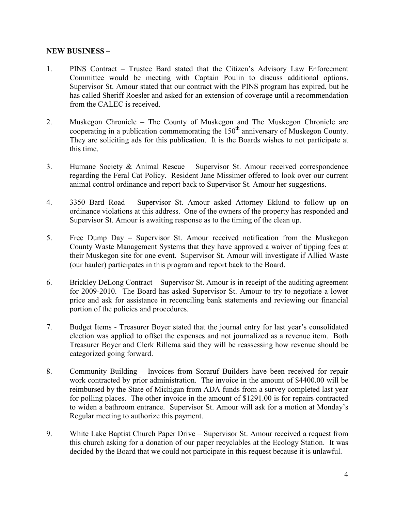## NEW BUSINESS –

- 1. PINS Contract Trustee Bard stated that the Citizen's Advisory Law Enforcement Committee would be meeting with Captain Poulin to discuss additional options. Supervisor St. Amour stated that our contract with the PINS program has expired, but he has called Sheriff Roesler and asked for an extension of coverage until a recommendation from the CALEC is received.
- 2. Muskegon Chronicle The County of Muskegon and The Muskegon Chronicle are cooperating in a publication commemorating the  $150<sup>th</sup>$  anniversary of Muskegon County. They are soliciting ads for this publication. It is the Boards wishes to not participate at this time.
- 3. Humane Society & Animal Rescue Supervisor St. Amour received correspondence regarding the Feral Cat Policy. Resident Jane Missimer offered to look over our current animal control ordinance and report back to Supervisor St. Amour her suggestions.
- 4. 3350 Bard Road Supervisor St. Amour asked Attorney Eklund to follow up on ordinance violations at this address. One of the owners of the property has responded and Supervisor St. Amour is awaiting response as to the timing of the clean up.
- 5. Free Dump Day Supervisor St. Amour received notification from the Muskegon County Waste Management Systems that they have approved a waiver of tipping fees at their Muskegon site for one event. Supervisor St. Amour will investigate if Allied Waste (our hauler) participates in this program and report back to the Board.
- 6. Brickley DeLong Contract Supervisor St. Amour is in receipt of the auditing agreement for 2009-2010. The Board has asked Supervisor St. Amour to try to negotiate a lower price and ask for assistance in reconciling bank statements and reviewing our financial portion of the policies and procedures.
- 7. Budget Items Treasurer Boyer stated that the journal entry for last year's consolidated election was applied to offset the expenses and not journalized as a revenue item. Both Treasurer Boyer and Clerk Rillema said they will be reassessing how revenue should be categorized going forward.
- 8. Community Building Invoices from Soraruf Builders have been received for repair work contracted by prior administration. The invoice in the amount of \$4400.00 will be reimbursed by the State of Michigan from ADA funds from a survey completed last year for polling places. The other invoice in the amount of \$1291.00 is for repairs contracted to widen a bathroom entrance. Supervisor St. Amour will ask for a motion at Monday's Regular meeting to authorize this payment.
- 9. White Lake Baptist Church Paper Drive Supervisor St. Amour received a request from this church asking for a donation of our paper recyclables at the Ecology Station. It was decided by the Board that we could not participate in this request because it is unlawful.